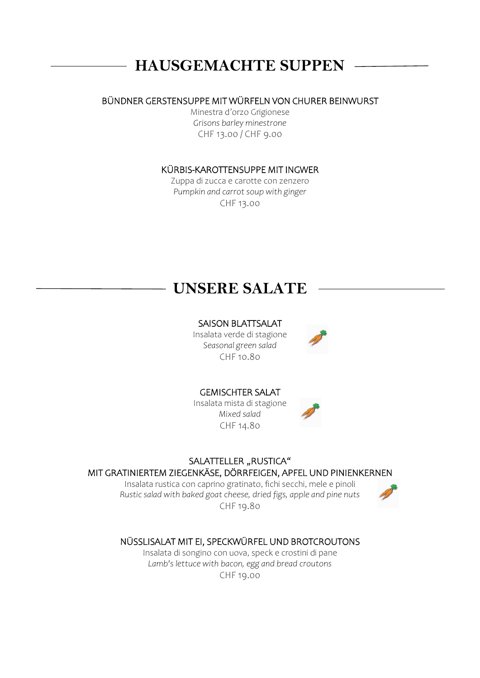# **HAUSGEMACHTE SUPPEN**

#### BÜNDNER GERSTENSUPPE MIT WÜRFELN VON CHURER BEINWURST

Minestra d'orzo Grigionese *Grisons barley minestrone* CHF 13.00 / CHF 9.00

#### KÜRBIS-KAROTTENSUPPE MIT INGWER

Zuppa di zucca e carotte con zenzero *Pumpkin and carrot soup with ginger* CHF 13.00

### **UNSERE SALATE**

#### SAISON BLATTSALAT

Insalata verde di stagione *Seasonal green salad* CHF 10.80



#### GEMISCHTER SALAT

Insalata mista di stagione *Mixed salad* CHF 14.80



#### SALATTELLER "RUSTICA"

#### MIT GRATINIERTEM ZIEGENKÄSE, DÖRRFEIGEN, APFEL UND PINIENKERNEN

Insalata rustica con caprino gratinato, fichi secchi, mele e pinoli *Rustic salad with baked goat cheese, dried figs, apple and pine nuts*  CHF 19.80



### NÜSSLISALAT MIT EI, SPECKWÜRFEL UND BROTCROUTONS

Insalata di songino con uova, speck e crostini di pane *Lamb's lettuce with bacon, egg and bread croutons* CHF 19.00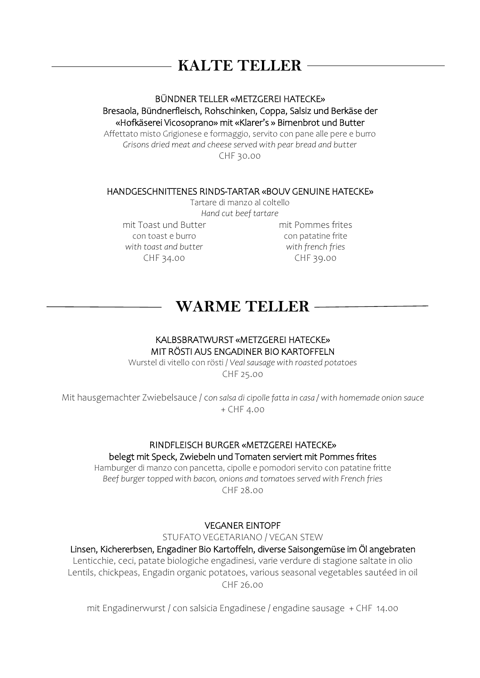# **KALTE TELLER**

#### BÜNDNER TELLER «METZGEREI HATECKE» Bresaola, Bündnerfleisch, Rohschinken, Coppa, Salsiz und Berkäse der «Hofkäserei Vicosoprano» mit «Klarer's » Birnenbrot und Butter

Affettato misto Grigionese e formaggio, servito con pane alle pere e burro *Grisons dried meat and cheese served with pear bread and butter* CHF 30.00

#### HANDGESCHNITTENES RINDS-TARTAR «BOUV GENUINE HATECKE»

Tartare di manzo al coltello *Hand cut beef tartare*

mit Toast und Butter con toast e burro *with toast and butter*  CHF 34.00 CHF 39.00

con patatine frite *with french fries* 

## **WARME TELLER**

#### KALBSBRATWURST «METZGEREI HATECKE» MIT RÖSTI AUS ENGADINER BIO KARTOFFELN

Wurstel di vitello con rösti / *Veal sausage with roasted potatoes*

CHF 25.00

Mit hausgemachter Zwiebelsauce / c*on salsa di cipolle fatta in casa / with homemade onion sauce* + CHF 4.00

### RINDFLEISCH BURGER «METZGEREI HATECKE» belegt mit Speck, Zwiebeln und Tomaten serviert mit Pommes frites

Hamburger di manzo con pancetta, cipolle e pomodori servito con patatine fritte *Beef burger topped with bacon, onions and tomatoes served with French fries* CHF 28.00

#### VEGANER EINTOPF

STUFATO VEGETARIANO / VEGAN STEW

Linsen, Kichererbsen, Engadiner Bio Kartoffeln, diverse Saisongemüse im Öl angebraten Lenticchie, ceci, patate biologiche engadinesi, varie verdure di stagione saltate in olio Lentils, chickpeas, Engadin organic potatoes, various seasonal vegetables sautéed in oil CHF 26.00

mit Engadinerwurst / con salsicia Engadinese / engadine sausage + CHF 14.00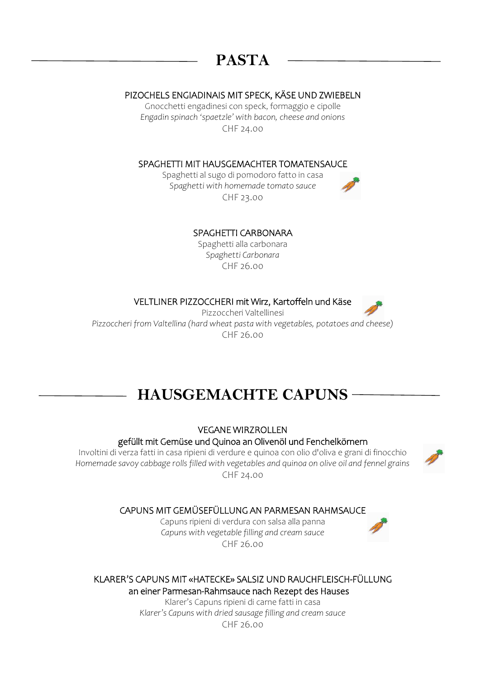# **PASTA**

#### PIZOCHELS ENGIADINAIS MIT SPECK, KÄSE UND ZWIEBELN

Gnocchetti engadinesi con speck, formaggio e cipolle *Engadin spinach 'spaetzle' with bacon, cheese and onions* CHF 24.00

#### SPAGHETTI MIT HAUSGEMACHTER TOMATENSAUCE

Spaghetti al sugo di pomodoro fatto in casa *Spaghetti with homemade tomato sauce* CHF 23.00

#### SPAGHETTI CARBONARA

Spaghetti alla carbonara *Spaghetti Carbonara* CHF 26.00

VELTLINER PIZZOCCHERI mit Wirz, Kartoffeln und Käse

Pizzoccheri Valtellinesi *Pizzoccheri from Valtellina (hard wheat pasta with vegetables, potatoes and cheese)* CHF 26.00

# **HAUSGEMACHTE CAPUNS**

VEGANE WIRZROLLEN

#### gefüllt mit Gemüse und Quinoa an Olivenöl und Fenchelkörnern

Involtini di verza fatti in casa ripieni di verdure e quinoa con olio d'oliva e grani di finocchio *Homemade savoy cabbage rolls filled with vegetables and quinoa on olive oil and fennel grains* CHF 24.00



#### CAPUNS MIT GEMÜSEFÜLLUNG AN PARMESAN RAHMSAUCE

Capuns ripieni di verdura con salsa alla panna *Capuns with vegetable filling and cream sauce* CHF 26.00

KLARER'S CAPUNS MIT «HATECKE» SALSIZ UND RAUCHFLEISCH-FÜLLUNG

an einer Parmesan-Rahmsauce nach Rezept des Hauses Klarer's Capuns ripieni di carne fatti in casa

*Klarer's Capuns with dried sausage filling and cream sauce*   $CHF 26.00$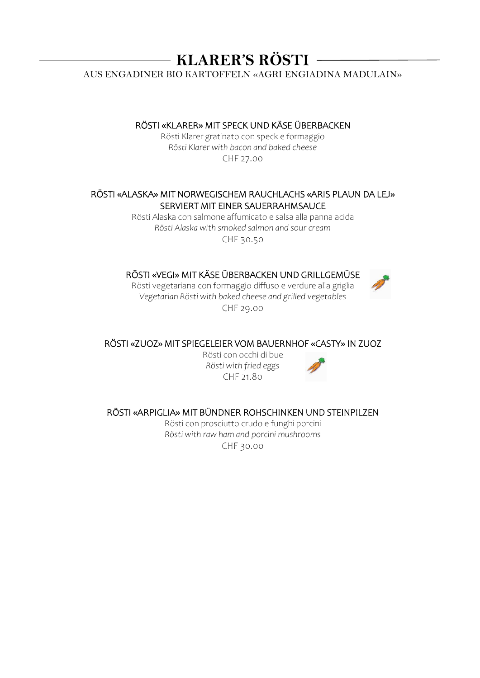**KLARER'S RÖSTI** 

AUS ENGADINER BIO KARTOFFELN «AGRI ENGIADINA MADULAIN»

RÖSTI «KLARER» MIT SPECK UND KÄSE ÜBERBACKEN

Rösti Klarer gratinato con speck e formaggio *Rösti Klarer with bacon and baked cheese* CHF 27.00

#### RÖSTI «ALASKA» MIT NORWEGISCHEM RAUCHLACHS «ARIS PLAUN DA LEJ» SERVIERT MIT EINER SAUERRAHMSAUCE

Rösti Alaska con salmone affumicato e salsa alla panna acida *Rösti Alaska with smoked salmon and sour cream* CHF 30.50

#### RÖSTI «VEGI» MIT KÄSE ÜBERBACKEN UND GRILLGEMÜSE

Rösti vegetariana con formaggio diffuso e verdure alla griglia *Vegetarian Rösti with baked cheese and grilled vegetables* CHF 29.00

RÖSTI «ZUOZ» MIT SPIEGELEIER VOM BAUERNHOF «CASTY» IN ZUOZ

Rösti con occhi di bue *Rösti with fried eggs* CHF 21.80



RÖSTI «ARPIGLIA» MIT BÜNDNER ROHSCHINKEN UND STEINPILZEN

Rösti con prosciutto crudo e funghi porcini *Rösti with raw ham and porcini mushrooms* CHF 30.00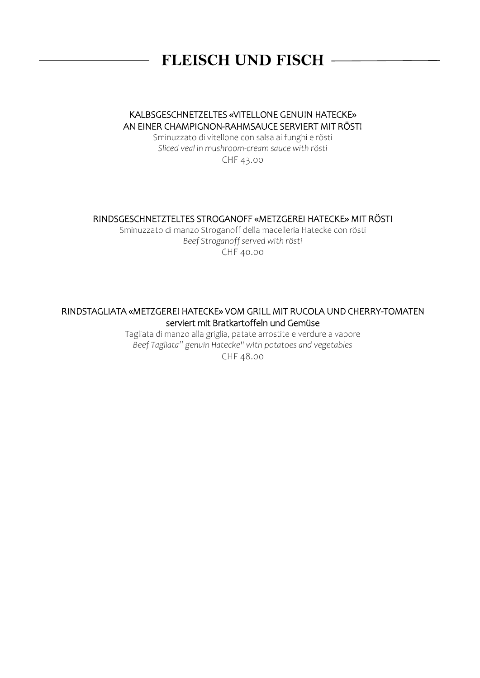# **FLEISCH UND FISCH**

#### KALBSGESCHNETZELTES «VITELLONE GENUIN HATECKE» AN EINER CHAMPIGNON-RAHMSAUCE SERVIERT MIT RÖSTI

Sminuzzato di vitellone con salsa ai funghi e rösti *Sliced veal in mushroom-cream sauce with rösti*

CHF 43.00

#### RINDSGESCHNETZTELTES STROGANOFF «METZGEREI HATECKE» MIT RÖSTI

Sminuzzato di manzo Stroganoff della macelleria Hatecke con rösti *Beef Stroganoff served with rösti* CHF 40.00

#### RINDSTAGLIATA «METZGEREI HATECKE» VOM GRILL MIT RUCOLA UND CHERRY-TOMATEN serviert mit Bratkartoffeln und Gemüse

Tagliata di manzo alla griglia, patate arrostite e verdure a vapore *Beef Tagliata" genuin Hatecke" with potatoes and vegetables*

CHF 48.00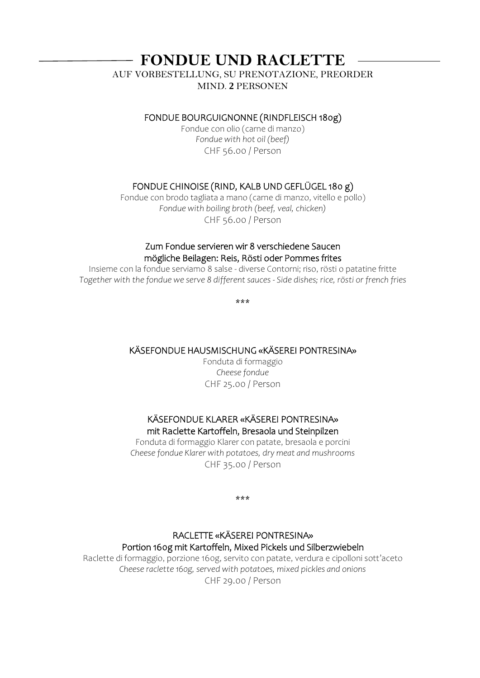### **FONDUE UND RACLETTE**

AUF VORBESTELLUNG, SU PRENOTAZIONE, PREORDER MIND. **2** PERSONEN

#### FONDUE BOURGUIGNONNE (RINDFLEISCH 180g)

Fondue con olio (carne di manzo) *Fondue with hot oil (beef)* CHF 56.00 / Person

#### FONDUE CHINOISE (RIND, KALB UND GEFLÜGEL 180 g)

Fondue con brodo tagliata a mano (carne di manzo, vitello e pollo) *Fondue with boiling broth (beef, veal, chicken)* CHF 56.00 / Person

#### Zum Fondue servieren wir 8 verschiedene Saucen mögliche Beilagen: Reis, Rösti oder Pommes frites

Insieme con la fondue serviamo 8 salse - diverse Contorni; riso, rösti o patatine fritte *Together with the fondue we serve 8 different sauces - Side dishes; rice, rösti or french fries*

\*\*\*

#### KÄSEFONDUE HAUSMISCHUNG «KÄSEREI PONTRESINA»

Fonduta di formaggio *Cheese fondue* CHF 25.00 / Person

#### KÄSEFONDUE KLARER «KÄSEREI PONTRESINA» mit Raclette Kartoffeln, Bresaola und Steinpilzen

Fonduta di formaggio Klarer con patate, bresaola e porcini *Cheese fondue Klarer with potatoes, dry meat and mushrooms* CHF 35.00 / Person

\*\*\*

#### RACLETTE «KÄSEREI PONTRESINA» Portion 160g mit Kartoffeln, Mixed Pickels und Silberzwiebeln

Raclette di formaggio, porzione 160g, servito con patate, verdura e cipolloni sott'aceto *Cheese raclette 160g, served with potatoes, mixed pickles and onions* CHF 29.00 / Person